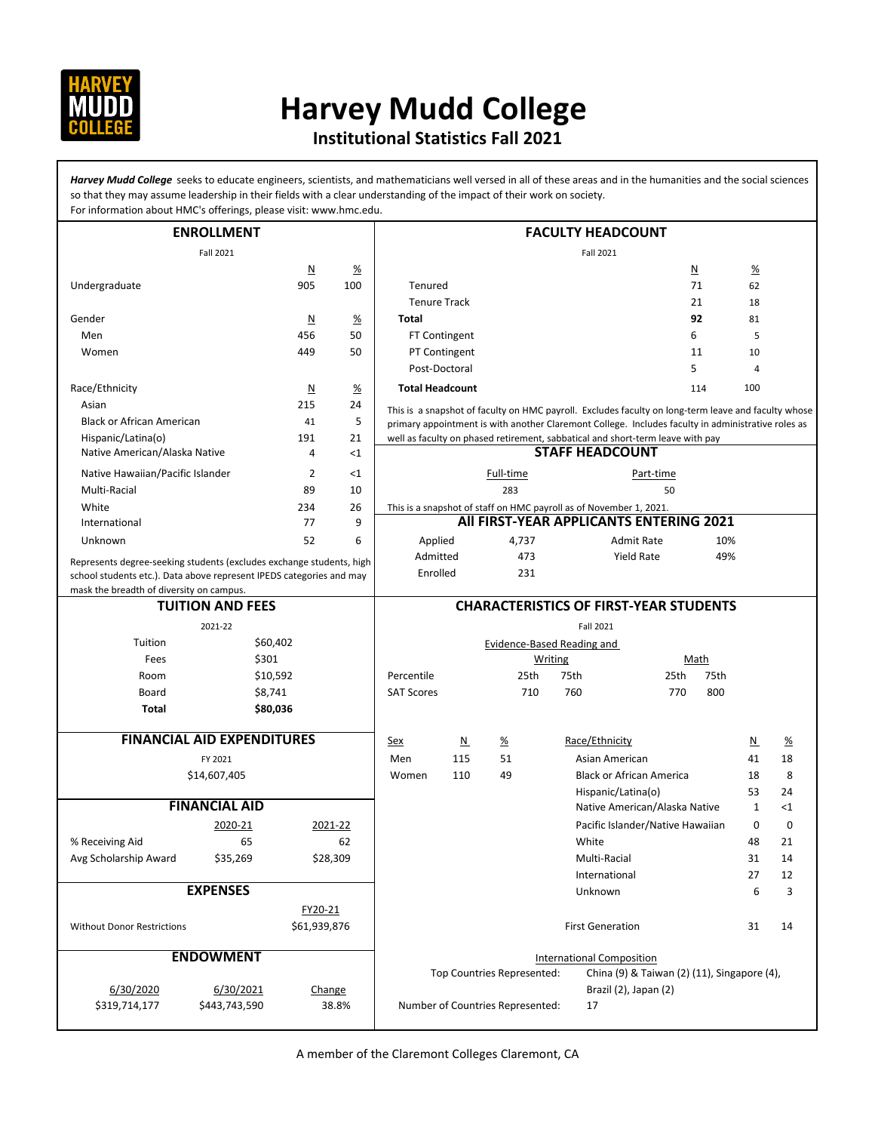

## **Harvey Mudd College**

## **Institutional Statistics Fall 2021**

Harvey Mudd College seeks to educate engineers, scientists, and mathematicians well versed in all of these areas and in the humanities and the social sciences so that they may assume leadership in their fields with a clear understanding of the impact of their work on society. For information about HMC's offerings, please visit: www.hmc.edu.

| <b>ENROLLMENT</b>                                                    |                         |                         |                 | <b>FACULTY HEADCOUNT</b>                                                                                      |                                   |                                  |                                                                                                     |                                             |                          |                 |    |
|----------------------------------------------------------------------|-------------------------|-------------------------|-----------------|---------------------------------------------------------------------------------------------------------------|-----------------------------------|----------------------------------|-----------------------------------------------------------------------------------------------------|---------------------------------------------|--------------------------|-----------------|----|
| Fall 2021                                                            |                         |                         | Fall 2021       |                                                                                                               |                                   |                                  |                                                                                                     |                                             |                          |                 |    |
|                                                                      |                         | $\overline{\mathsf{M}}$ | <u>%</u>        |                                                                                                               |                                   |                                  |                                                                                                     | N                                           |                          | $\frac{9}{6}$   |    |
| Undergraduate                                                        |                         | 905                     | 100             | Tenured                                                                                                       |                                   |                                  |                                                                                                     |                                             | 71                       | 62              |    |
|                                                                      |                         |                         |                 | <b>Tenure Track</b>                                                                                           |                                   |                                  |                                                                                                     |                                             | 21                       | 18              |    |
| Gender                                                               |                         | $\overline{\mathsf{M}}$ | $\frac{\%}{\%}$ | Total                                                                                                         |                                   |                                  |                                                                                                     |                                             | 92                       | 81              |    |
| Men                                                                  |                         | 456                     | 50              |                                                                                                               | FT Contingent                     |                                  |                                                                                                     | 6                                           |                          | 5               |    |
| Women                                                                |                         | 449                     | 50              |                                                                                                               | PT Contingent                     |                                  |                                                                                                     |                                             | 11                       | 10              |    |
|                                                                      |                         |                         |                 | Post-Doctoral                                                                                                 |                                   |                                  |                                                                                                     | 5                                           |                          | $\overline{4}$  |    |
| Race/Ethnicity                                                       |                         | $\overline{\mathsf{M}}$ | $\frac{\%}{\%}$ | <b>Total Headcount</b>                                                                                        |                                   |                                  |                                                                                                     |                                             | 114                      | 100             |    |
| Asian                                                                |                         | 215                     | 24              |                                                                                                               |                                   |                                  | This is a snapshot of faculty on HMC payroll. Excludes faculty on long-term leave and faculty whose |                                             |                          |                 |    |
| <b>Black or African American</b>                                     |                         | 41                      | 5               |                                                                                                               |                                   |                                  | primary appointment is with another Claremont College. Includes faculty in administrative roles as  |                                             |                          |                 |    |
| Hispanic/Latina(o)                                                   |                         | 191                     | 21              |                                                                                                               |                                   |                                  | well as faculty on phased retirement, sabbatical and short-term leave with pay                      |                                             |                          |                 |    |
| Native American/Alaska Native<br><1<br>4                             |                         |                         |                 |                                                                                                               | <b>STAFF HEADCOUNT</b>            |                                  |                                                                                                     |                                             |                          |                 |    |
| Native Hawaiian/Pacific Islander                                     |                         | 2                       | <1              |                                                                                                               |                                   | Full-time                        |                                                                                                     | Part-time                                   |                          |                 |    |
| Multi-Racial                                                         |                         | 89                      | 10              |                                                                                                               |                                   | 283                              |                                                                                                     | 50                                          |                          |                 |    |
| White                                                                |                         | 234                     | 26              |                                                                                                               |                                   |                                  |                                                                                                     |                                             |                          |                 |    |
| 9<br>77<br>International                                             |                         |                         |                 | This is a snapshot of staff on HMC payroll as of November 1, 2021.<br>All FIRST-YEAR APPLICANTS ENTERING 2021 |                                   |                                  |                                                                                                     |                                             |                          |                 |    |
| Unknown                                                              |                         | 52                      | 6               | Applied                                                                                                       |                                   | 4,737                            |                                                                                                     | <b>Admit Rate</b>                           | 10%                      |                 |    |
| Represents degree-seeking students (excludes exchange students, high |                         |                         | Admitted        |                                                                                                               | 473                               |                                  | <b>Yield Rate</b>                                                                                   | 49%                                         |                          |                 |    |
| school students etc.). Data above represent IPEDS categories and may |                         |                         |                 | Enrolled                                                                                                      |                                   | 231                              |                                                                                                     |                                             |                          |                 |    |
| mask the breadth of diversity on campus.                             |                         |                         |                 |                                                                                                               |                                   |                                  |                                                                                                     |                                             |                          |                 |    |
|                                                                      | <b>TUITION AND FEES</b> |                         |                 |                                                                                                               |                                   |                                  | <b>CHARACTERISTICS OF FIRST-YEAR STUDENTS</b>                                                       |                                             |                          |                 |    |
| 2021-22                                                              |                         |                         |                 |                                                                                                               |                                   |                                  | Fall 2021                                                                                           |                                             |                          |                 |    |
| \$60,402<br>Tuition                                                  |                         |                         |                 |                                                                                                               | <b>Evidence-Based Reading and</b> |                                  |                                                                                                     |                                             |                          |                 |    |
| Fees                                                                 | \$301                   |                         |                 |                                                                                                               |                                   | <b>Writing</b>                   |                                                                                                     |                                             | Math                     |                 |    |
| Room                                                                 | \$10,592                |                         |                 | Percentile                                                                                                    |                                   | 25th                             | 75th                                                                                                | 25th                                        | 75th                     |                 |    |
| Board                                                                | \$8,741                 |                         |                 | <b>SAT Scores</b>                                                                                             |                                   | 710                              | 760                                                                                                 | 770                                         | 800                      |                 |    |
| Total                                                                | \$80,036                |                         |                 |                                                                                                               |                                   |                                  |                                                                                                     |                                             |                          |                 |    |
|                                                                      |                         |                         |                 |                                                                                                               |                                   |                                  |                                                                                                     |                                             |                          |                 |    |
| <b>FINANCIAL AID EXPENDITURES</b>                                    |                         |                         | <u>Sex</u>      | $\underline{\mathsf{N}}$                                                                                      | $\frac{\%}{\%}$                   | Race/Ethnicity                   |                                                                                                     |                                             | $\underline{\mathsf{N}}$ | $\frac{\%}{\%}$ |    |
| FY 2021                                                              |                         |                         | Men             | 115                                                                                                           | 51                                | Asian American                   |                                                                                                     |                                             | 41                       | 18              |    |
|                                                                      | \$14,607,405            |                         |                 | Women                                                                                                         | 110                               | 49                               | <b>Black or African America</b>                                                                     |                                             |                          | 18              | 8  |
|                                                                      |                         |                         |                 |                                                                                                               |                                   |                                  | Hispanic/Latina(o)                                                                                  |                                             |                          | 53              | 24 |
| <b>FINANCIAL AID</b>                                                 |                         |                         |                 |                                                                                                               |                                   |                                  | Native American/Alaska Native                                                                       |                                             | 1                        | $<$ 1           |    |
|                                                                      | 2020-21                 |                         | 2021-22         |                                                                                                               |                                   |                                  |                                                                                                     | Pacific Islander/Native Hawaiian            |                          | 0               | 0  |
| % Receiving Aid                                                      | 65                      |                         | 62              |                                                                                                               |                                   |                                  | White                                                                                               |                                             |                          | 48              | 21 |
| Avg Scholarship Award                                                | \$35,269                |                         | \$28,309        |                                                                                                               |                                   |                                  | Multi-Racial                                                                                        |                                             |                          | 31              | 14 |
|                                                                      |                         |                         |                 |                                                                                                               |                                   |                                  | International                                                                                       |                                             |                          | 27              | 12 |
| <b>EXPENSES</b>                                                      |                         |                         |                 |                                                                                                               |                                   | Unknown                          |                                                                                                     |                                             | 6                        | 3               |    |
|                                                                      |                         | FY20-21                 |                 |                                                                                                               |                                   |                                  |                                                                                                     |                                             |                          |                 |    |
| <b>Without Donor Restrictions</b>                                    |                         | \$61,939,876            |                 |                                                                                                               |                                   |                                  | <b>First Generation</b>                                                                             |                                             |                          | 31              | 14 |
|                                                                      |                         |                         |                 |                                                                                                               |                                   |                                  |                                                                                                     |                                             |                          |                 |    |
|                                                                      | <b>ENDOWMENT</b>        |                         |                 |                                                                                                               |                                   |                                  | <b>International Composition</b>                                                                    |                                             |                          |                 |    |
|                                                                      |                         |                         |                 |                                                                                                               |                                   | Top Countries Represented:       |                                                                                                     | China (9) & Taiwan (2) (11), Singapore (4), |                          |                 |    |
| 6/30/2020                                                            | 6/30/2021               | Change                  |                 | Brazil (2), Japan (2)                                                                                         |                                   |                                  |                                                                                                     |                                             |                          |                 |    |
| \$319,714,177                                                        | \$443,743,590           |                         | 38.8%           |                                                                                                               |                                   | Number of Countries Represented: | 17                                                                                                  |                                             |                          |                 |    |
|                                                                      |                         |                         |                 |                                                                                                               |                                   |                                  |                                                                                                     |                                             |                          |                 |    |